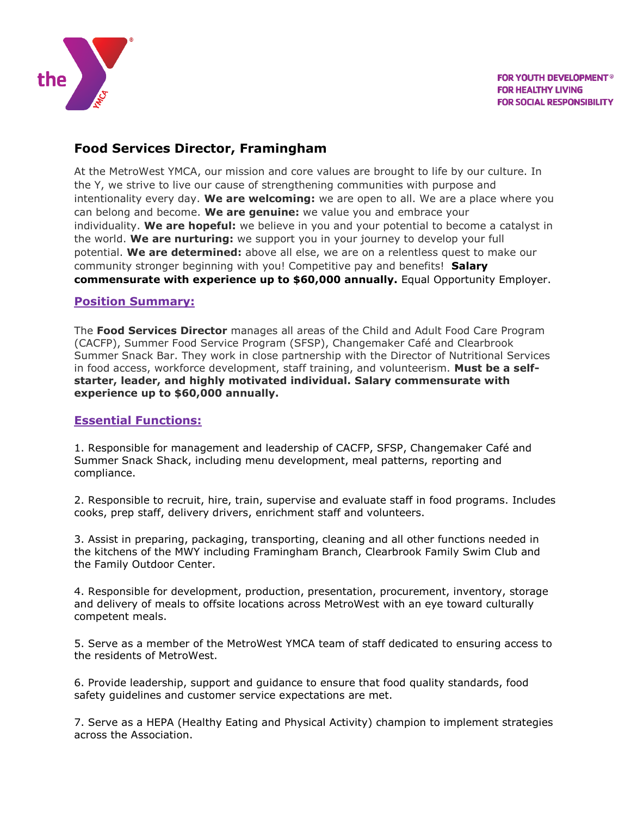

# **Food Services Director, Framingham**

At the MetroWest YMCA, our mission and core values are brought to life by our culture. In the Y, we strive to live our cause of strengthening communities with purpose and intentionality every day. **We are welcoming:** we are open to all. We are a place where you can belong and become. **We are genuine:** we value you and embrace your individuality. **We are hopeful:** we believe in you and your potential to become a catalyst in the world. **We are nurturing:** we support you in your journey to develop your full potential. **We are determined:** above all else, we are on a relentless quest to make our community stronger beginning with you! Competitive pay and benefits! **Salary commensurate with experience up to \$60,000 annually.** Equal Opportunity Employer.

### **Position Summary:**

The **Food Services Director** manages all areas of the Child and Adult Food Care Program (CACFP), Summer Food Service Program (SFSP), Changemaker Café and Clearbrook Summer Snack Bar. They work in close partnership with the Director of Nutritional Services in food access, workforce development, staff training, and volunteerism. **Must be a selfstarter, leader, and highly motivated individual. Salary commensurate with experience up to \$60,000 annually.**

### **Essential Functions:**

1. Responsible for management and leadership of CACFP, SFSP, Changemaker Café and Summer Snack Shack, including menu development, meal patterns, reporting and compliance.

2. Responsible to recruit, hire, train, supervise and evaluate staff in food programs. Includes cooks, prep staff, delivery drivers, enrichment staff and volunteers.

3. Assist in preparing, packaging, transporting, cleaning and all other functions needed in the kitchens of the MWY including Framingham Branch, Clearbrook Family Swim Club and the Family Outdoor Center.

4. Responsible for development, production, presentation, procurement, inventory, storage and delivery of meals to offsite locations across MetroWest with an eye toward culturally competent meals.

5. Serve as a member of the MetroWest YMCA team of staff dedicated to ensuring access to the residents of MetroWest.

6. Provide leadership, support and guidance to ensure that food quality standards, food safety guidelines and customer service expectations are met.

7. Serve as a HEPA (Healthy Eating and Physical Activity) champion to implement strategies across the Association.